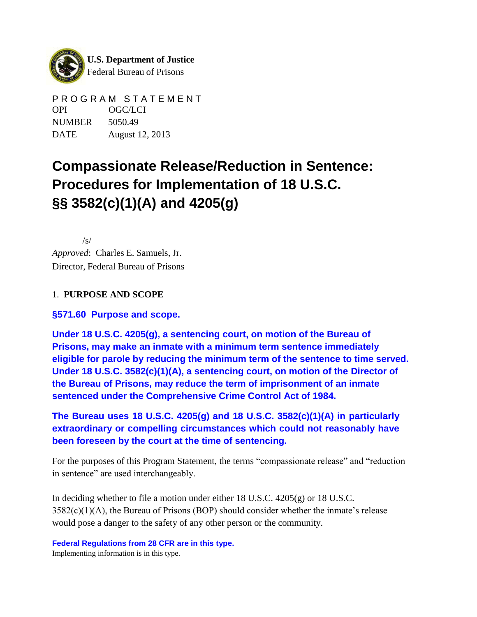

PROGRAM STATEMENT OPI OGC/LCI NUMBER 5050.49 DATE August 12, 2013

# **Compassionate Release/Reduction in Sentence: Procedures for Implementation of 18 U.S.C. §§ 3582(c)(1)(A) and 4205(g)**

/s/ *Approved*: Charles E. Samuels, Jr. Director, Federal Bureau of Prisons

## 1. **PURPOSE AND SCOPE**

**§571.60 Purpose and scope.**

**Under 18 U.S.C. 4205(g), a sentencing court, on motion of the Bureau of Prisons, may make an inmate with a minimum term sentence immediately eligible for parole by reducing the minimum term of the sentence to time served. Under 18 U.S.C. 3582(c)(1)(A), a sentencing court, on motion of the Director of the Bureau of Prisons, may reduce the term of imprisonment of an inmate sentenced under the Comprehensive Crime Control Act of 1984.**

**The Bureau uses 18 U.S.C. 4205(g) and 18 U.S.C. 3582(c)(1)(A) in particularly extraordinary or compelling circumstances which could not reasonably have been foreseen by the court at the time of sentencing.**

For the purposes of this Program Statement, the terms "compassionate release" and "reduction in sentence" are used interchangeably.

In deciding whether to file a motion under either 18 U.S.C. 4205(g) or 18 U.S.C.  $3582(c)(1)(A)$ , the Bureau of Prisons (BOP) should consider whether the inmate's release would pose a danger to the safety of any other person or the community.

**Federal Regulations from 28 CFR are in this type.** Implementing information is in this type.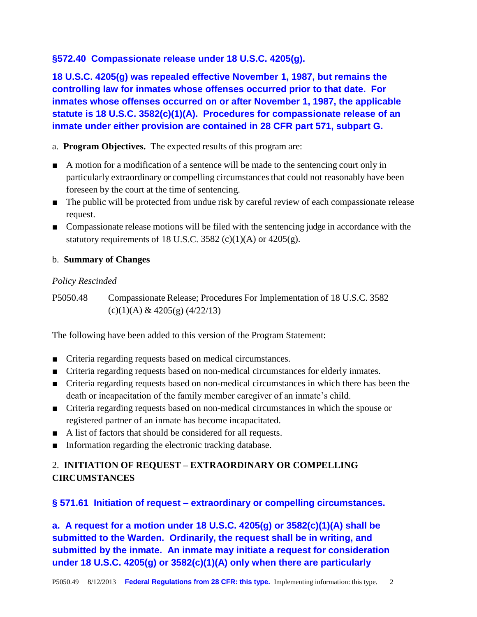#### **§572.40 Compassionate release under 18 U.S.C. 4205(g).**

**18 U.S.C. 4205(g) was repealed effective November 1, 1987, but remains the controlling law for inmates whose offenses occurred prior to that date. For inmates whose offenses occurred on or after November 1, 1987, the applicable statute is 18 U.S.C. 3582(c)(1)(A). Procedures for compassionate release of an inmate under either provision are contained in 28 CFR part 571, subpart G.**

a. **Program Objectives.** The expected results of this program are:

- A motion for a modification of a sentence will be made to the sentencing court only in particularly extraordinary or compelling circumstancesthat could not reasonably have been foreseen by the court at the time of sentencing.
- The public will be protected from undue risk by careful review of each compassionate release request.
- Compassionate release motions will be filed with the sentencing judge in accordance with the statutory requirements of 18 U.S.C. 3582 (c)(1)(A) or  $4205(g)$ .

#### b. **Summary of Changes**

#### *Policy Rescinded*

P5050.48 Compassionate Release; Procedures For Implementation of 18 U.S.C. 3582  $(c)(1)(A)$  & 4205 $(g)$  (4/22/13)

The following have been added to this version of the Program Statement:

- Criteria regarding requests based on medical circumstances.
- Criteria regarding requests based on non-medical circumstances for elderly inmates.
- Criteria regarding requests based on non-medical circumstances in which there has been the death or incapacitation of the family member caregiver of an inmate's child.
- Criteria regarding requests based on non-medical circumstances in which the spouse or registered partner of an inmate has become incapacitated.
- A list of factors that should be considered for all requests.
- Information regarding the electronic tracking database.

# 2. **INITIATION OF REQUEST – EXTRAORDINARY OR COMPELLING CIRCUMSTANCES**

## **§ 571.61 Initiation of request – extraordinary or compelling circumstances.**

**a. A request for a motion under 18 U.S.C. 4205(g) or 3582(c)(1)(A) shall be submitted to the Warden. Ordinarily, the request shall be in writing, and submitted by the inmate. An inmate may initiate a request for consideration under 18 U.S.C. 4205(g) or 3582(c)(1)(A) only when there are particularly**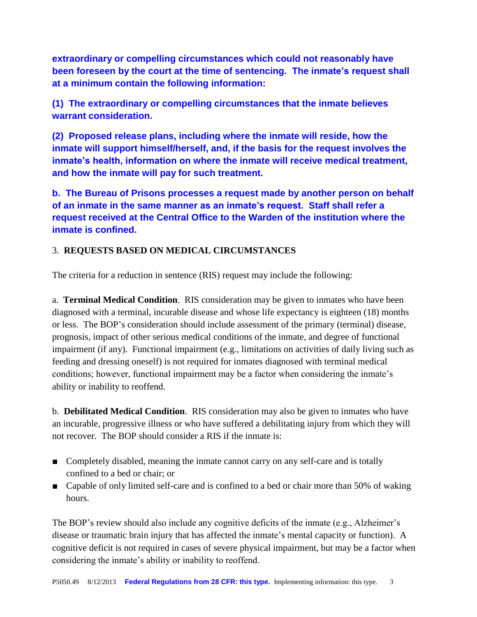**extraordinary or compelling circumstances which could not reasonably have been foreseen by the court at the time of sentencing. The inmate's request shall at a minimum contain the following information:**

**(1) The extraordinary or compelling circumstances that the inmate believes warrant consideration.**

**(2) Proposed release plans, including where the inmate will reside, how the inmate will support himself/herself, and, if the basis for the request involves the inmate's health, information on where the inmate will receive medical treatment, and how the inmate will pay for such treatment.**

**b. The Bureau of Prisons processes a request made by another person on behalf of an inmate in the same manner as an inmate's request. Staff shall refer a request received at the Central Office to the Warden of the institution where the inmate is confined.**

## 3. **REQUESTS BASED ON MEDICAL CIRCUMSTANCES**

The criteria for a reduction in sentence (RIS) request may include the following:

a. **Terminal Medical Condition**. RIS consideration may be given to inmates who have been diagnosed with a terminal, incurable disease and whose life expectancy is eighteen (18) months or less. The BOP's consideration should include assessment of the primary (terminal) disease, prognosis, impact of other serious medical conditions of the inmate, and degree of functional impairment (if any). Functional impairment (e.g., limitations on activities of daily living such as feeding and dressing oneself) is not required for inmates diagnosed with terminal medical conditions; however, functional impairment may be a factor when considering the inmate's ability or inability to reoffend.

b. **Debilitated Medical Condition**. RIS consideration may also be given to inmates who have an incurable, progressive illness or who have suffered a debilitating injury from which they will not recover. The BOP should consider a RIS if the inmate is:

- Completely disabled, meaning the inmate cannot carry on any self-care and is totally confined to a bed or chair; or
- Capable of only limited self-care and is confined to a bed or chair more than 50% of waking hours.

The BOP's review should also include any cognitive deficits of the inmate (e.g., Alzheimer's disease or traumatic brain injury that has affected the inmate's mental capacity or function). A cognitive deficit is not required in cases of severe physical impairment, but may be a factor when considering the inmate's ability or inability to reoffend.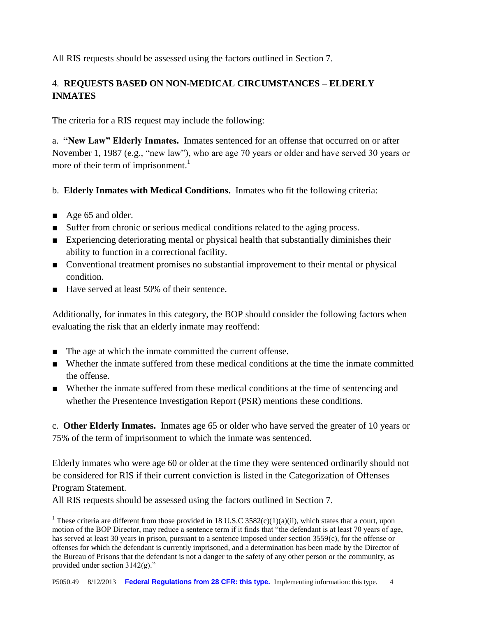All RIS requests should be assessed using the factors outlined in Section 7.

# 4. **REQUESTS BASED ON NON-MEDICAL CIRCUMSTANCES – ELDERLY INMATES**

The criteria for a RIS request may include the following:

a. **"New Law" Elderly Inmates.** Inmates sentenced for an offense that occurred on or after November 1, 1987 (e.g., "new law"), who are age 70 years or older and have served 30 years or more of their term of imprisonment. $<sup>1</sup>$ </sup>

- b. **Elderly Inmates with Medical Conditions.** Inmates who fit the following criteria:
- Age 65 and older.
- Suffer from chronic or serious medical conditions related to the aging process.
- Experiencing deteriorating mental or physical health that substantially diminishes their ability to function in a correctional facility.
- Conventional treatment promises no substantial improvement to their mental or physical condition.
- Have served at least 50% of their sentence.

Additionally, for inmates in this category, the BOP should consider the following factors when evaluating the risk that an elderly inmate may reoffend:

- The age at which the inmate committed the current offense.
- Whether the inmate suffered from these medical conditions at the time the inmate committed the offense.
- Whether the inmate suffered from these medical conditions at the time of sentencing and whether the Presentence Investigation Report (PSR) mentions these conditions.

c. **Other Elderly Inmates.** Inmates age 65 or older who have served the greater of 10 years or 75% of the term of imprisonment to which the inmate was sentenced.

Elderly inmates who were age 60 or older at the time they were sentenced ordinarily should not be considered for RIS if their current conviction is listed in the Categorization of Offenses Program Statement.

All RIS requests should be assessed using the factors outlined in Section 7.

 $\overline{a}$ <sup>1</sup> These criteria are different from those provided in 18 U.S.C 3582(c)(1)(a)(ii), which states that a court, upon motion of the BOP Director, may reduce a sentence term if it finds that "the defendant is at least 70 years of age, has served at least 30 years in prison, pursuant to a sentence imposed under section 3559(c), for the offense or offenses for which the defendant is currently imprisoned, and a determination has been made by the Director of the Bureau of Prisons that the defendant is not a danger to the safety of any other person or the community, as provided under section 3142(g)."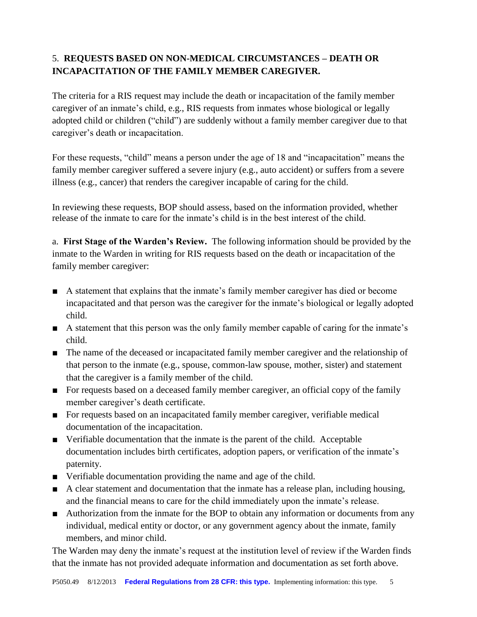# 5. **REQUESTS BASED ON NON-MEDICAL CIRCUMSTANCES – DEATH OR INCAPACITATION OF THE FAMILY MEMBER CAREGIVER.**

The criteria for a RIS request may include the death or incapacitation of the family member caregiver of an inmate's child, e.g., RIS requests from inmates whose biological or legally adopted child or children ("child") are suddenly without a family member caregiver due to that caregiver's death or incapacitation.

For these requests, "child" means a person under the age of 18 and "incapacitation" means the family member caregiver suffered a severe injury (e.g., auto accident) or suffers from a severe illness (e.g., cancer) that renders the caregiver incapable of caring for the child.

In reviewing these requests, BOP should assess, based on the information provided, whether release of the inmate to care for the inmate's child is in the best interest of the child.

a. **First Stage of the Warden's Review.** The following information should be provided by the inmate to the Warden in writing for RIS requests based on the death or incapacitation of the family member caregiver:

- A statement that explains that the inmate's family member caregiver has died or become incapacitated and that person was the caregiver for the inmate's biological or legally adopted child.
- A statement that this person was the only family member capable of caring for the inmate's child.
- The name of the deceased or incapacitated family member caregiver and the relationship of that person to the inmate (e.g., spouse, common-law spouse, mother, sister) and statement that the caregiver is a family member of the child.
- For requests based on a deceased family member caregiver, an official copy of the family member caregiver's death certificate.
- For requests based on an incapacitated family member caregiver, verifiable medical documentation of the incapacitation.
- Verifiable documentation that the inmate is the parent of the child. Acceptable documentation includes birth certificates, adoption papers, or verification of the inmate's paternity.
- Verifiable documentation providing the name and age of the child.
- A clear statement and documentation that the inmate has a release plan, including housing, and the financial means to care for the child immediately upon the inmate's release.
- Authorization from the inmate for the BOP to obtain any information or documents from any individual, medical entity or doctor, or any government agency about the inmate, family members, and minor child.

The Warden may deny the inmate's request at the institution level of review if the Warden finds that the inmate has not provided adequate information and documentation as set forth above.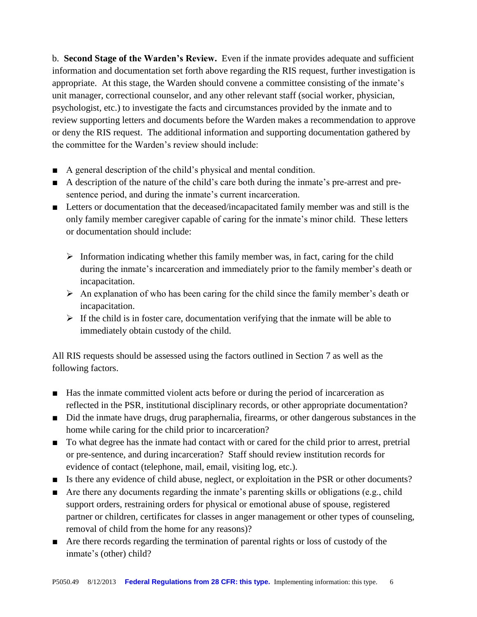b. **Second Stage of the Warden's Review.** Even if the inmate provides adequate and sufficient information and documentation set forth above regarding the RIS request, further investigation is appropriate. At this stage, the Warden should convene a committee consisting of the inmate's unit manager, correctional counselor, and any other relevant staff (social worker, physician, psychologist, etc.) to investigate the facts and circumstances provided by the inmate and to review supporting letters and documents before the Warden makes a recommendation to approve or deny the RIS request. The additional information and supporting documentation gathered by the committee for the Warden's review should include:

- A general description of the child's physical and mental condition.
- A description of the nature of the child's care both during the inmate's pre-arrest and presentence period, and during the inmate's current incarceration.
- Letters or documentation that the deceased/incapacitated family member was and still is the only family member caregiver capable of caring for the inmate's minor child. These letters or documentation should include:
	- $\triangleright$  Information indicating whether this family member was, in fact, caring for the child during the inmate's incarceration and immediately prior to the family member's death or incapacitation.
	- $\triangleright$  An explanation of who has been caring for the child since the family member's death or incapacitation.
	- $\triangleright$  If the child is in foster care, documentation verifying that the inmate will be able to immediately obtain custody of the child.

All RIS requests should be assessed using the factors outlined in Section 7 as well as the following factors.

- Has the inmate committed violent acts before or during the period of incarceration as reflected in the PSR, institutional disciplinary records, or other appropriate documentation?
- Did the inmate have drugs, drug paraphernalia, firearms, or other dangerous substances in the home while caring for the child prior to incarceration?
- To what degree has the inmate had contact with or cared for the child prior to arrest, pretrial or pre-sentence, and during incarceration? Staff should review institution records for evidence of contact (telephone, mail, email, visiting log, etc.).
- Is there any evidence of child abuse, neglect, or exploitation in the PSR or other documents?
- Are there any documents regarding the inmate's parenting skills or obligations (e.g., child support orders, restraining orders for physical or emotional abuse of spouse, registered partner or children, certificates for classes in anger management or other types of counseling, removal of child from the home for any reasons)?
- Are there records regarding the termination of parental rights or loss of custody of the inmate's (other) child?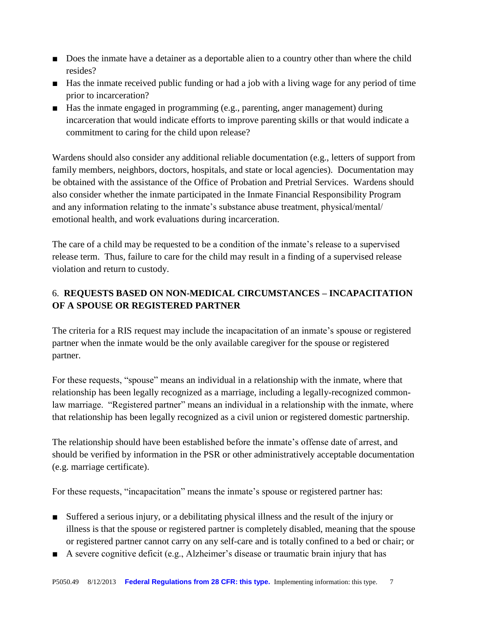- Does the inmate have a detainer as a deportable alien to a country other than where the child resides?
- Has the inmate received public funding or had a job with a living wage for any period of time prior to incarceration?
- Has the inmate engaged in programming (e.g., parenting, anger management) during incarceration that would indicate efforts to improve parenting skills or that would indicate a commitment to caring for the child upon release?

Wardens should also consider any additional reliable documentation (e.g., letters of support from family members, neighbors, doctors, hospitals, and state or local agencies). Documentation may be obtained with the assistance of the Office of Probation and Pretrial Services. Wardens should also consider whether the inmate participated in the Inmate Financial Responsibility Program and any information relating to the inmate's substance abuse treatment, physical/mental/ emotional health, and work evaluations during incarceration.

The care of a child may be requested to be a condition of the inmate's release to a supervised release term. Thus, failure to care for the child may result in a finding of a supervised release violation and return to custody.

# 6. **REQUESTS BASED ON NON-MEDICAL CIRCUMSTANCES – INCAPACITATION OF A SPOUSE OR REGISTERED PARTNER**

The criteria for a RIS request may include the incapacitation of an inmate's spouse or registered partner when the inmate would be the only available caregiver for the spouse or registered partner.

For these requests, "spouse" means an individual in a relationship with the inmate, where that relationship has been legally recognized as a marriage, including a legally-recognized commonlaw marriage. "Registered partner" means an individual in a relationship with the inmate, where that relationship has been legally recognized as a civil union or registered domestic partnership.

The relationship should have been established before the inmate's offense date of arrest, and should be verified by information in the PSR or other administratively acceptable documentation (e.g. marriage certificate).

For these requests, "incapacitation" means the inmate's spouse or registered partner has:

- Suffered a serious injury, or a debilitating physical illness and the result of the injury or illness is that the spouse or registered partner is completely disabled, meaning that the spouse or registered partner cannot carry on any self-care and is totally confined to a bed or chair; or
- A severe cognitive deficit (e.g., Alzheimer's disease or traumatic brain injury that has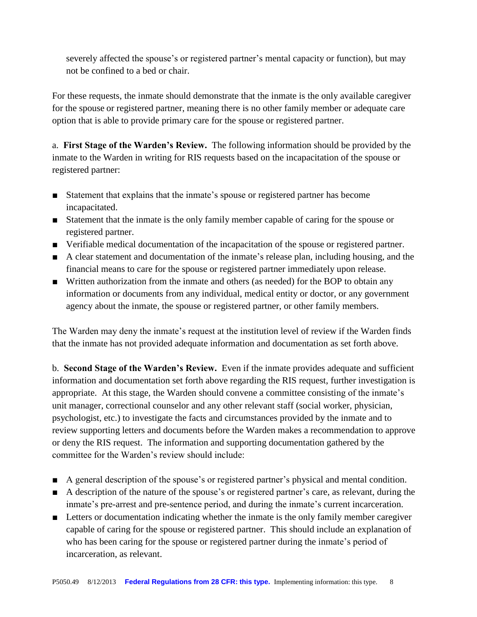severely affected the spouse's or registered partner's mental capacity or function), but may not be confined to a bed or chair.

For these requests, the inmate should demonstrate that the inmate is the only available caregiver for the spouse or registered partner, meaning there is no other family member or adequate care option that is able to provide primary care for the spouse or registered partner.

a. **First Stage of the Warden's Review.** The following information should be provided by the inmate to the Warden in writing for RIS requests based on the incapacitation of the spouse or registered partner:

- Statement that explains that the inmate's spouse or registered partner has become incapacitated.
- Statement that the inmate is the only family member capable of caring for the spouse or registered partner.
- Verifiable medical documentation of the incapacitation of the spouse or registered partner.
- A clear statement and documentation of the inmate's release plan, including housing, and the financial means to care for the spouse or registered partner immediately upon release.
- Written authorization from the inmate and others (as needed) for the BOP to obtain any information or documents from any individual, medical entity or doctor, or any government agency about the inmate, the spouse or registered partner, or other family members.

The Warden may deny the inmate's request at the institution level of review if the Warden finds that the inmate has not provided adequate information and documentation as set forth above.

b. **Second Stage of the Warden's Review.** Even if the inmate provides adequate and sufficient information and documentation set forth above regarding the RIS request, further investigation is appropriate. At this stage, the Warden should convene a committee consisting of the inmate's unit manager, correctional counselor and any other relevant staff (social worker, physician, psychologist, etc.) to investigate the facts and circumstances provided by the inmate and to review supporting letters and documents before the Warden makes a recommendation to approve or deny the RIS request. The information and supporting documentation gathered by the committee for the Warden's review should include:

- A general description of the spouse's or registered partner's physical and mental condition.
- A description of the nature of the spouse's or registered partner's care, as relevant, during the inmate's pre-arrest and pre-sentence period, and during the inmate's current incarceration.
- Letters or documentation indicating whether the inmate is the only family member caregiver capable of caring for the spouse or registered partner. This should include an explanation of who has been caring for the spouse or registered partner during the inmate's period of incarceration, as relevant.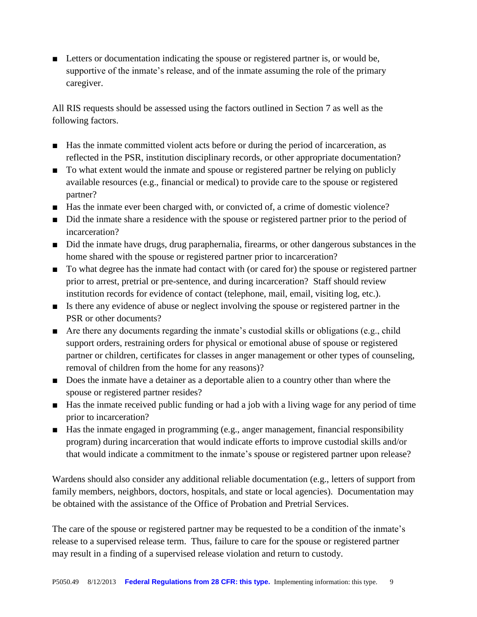■ Letters or documentation indicating the spouse or registered partner is, or would be, supportive of the inmate's release, and of the inmate assuming the role of the primary caregiver.

All RIS requests should be assessed using the factors outlined in Section 7 as well as the following factors.

- Has the inmate committed violent acts before or during the period of incarceration, as reflected in the PSR, institution disciplinary records, or other appropriate documentation?
- To what extent would the inmate and spouse or registered partner be relying on publicly available resources (e.g., financial or medical) to provide care to the spouse or registered partner?
- Has the inmate ever been charged with, or convicted of, a crime of domestic violence?
- Did the inmate share a residence with the spouse or registered partner prior to the period of incarceration?
- Did the inmate have drugs, drug paraphernalia, firearms, or other dangerous substances in the home shared with the spouse or registered partner prior to incarceration?
- To what degree has the inmate had contact with (or cared for) the spouse or registered partner prior to arrest, pretrial or pre-sentence, and during incarceration? Staff should review institution records for evidence of contact (telephone, mail, email, visiting log, etc.).
- Is there any evidence of abuse or neglect involving the spouse or registered partner in the PSR or other documents?
- Are there any documents regarding the inmate's custodial skills or obligations (e.g., child support orders, restraining orders for physical or emotional abuse of spouse or registered partner or children, certificates for classes in anger management or other types of counseling, removal of children from the home for any reasons)?
- Does the inmate have a detainer as a deportable alien to a country other than where the spouse or registered partner resides?
- Has the inmate received public funding or had a job with a living wage for any period of time prior to incarceration?
- Has the inmate engaged in programming (e.g., anger management, financial responsibility program) during incarceration that would indicate efforts to improve custodial skills and/or that would indicate a commitment to the inmate's spouse or registered partner upon release?

Wardens should also consider any additional reliable documentation (e.g., letters of support from family members, neighbors, doctors, hospitals, and state or local agencies). Documentation may be obtained with the assistance of the Office of Probation and Pretrial Services.

The care of the spouse or registered partner may be requested to be a condition of the inmate's release to a supervised release term. Thus, failure to care for the spouse or registered partner may result in a finding of a supervised release violation and return to custody.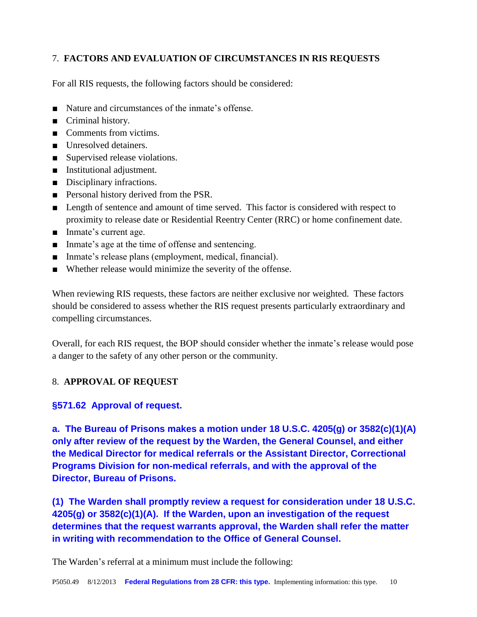## 7. **FACTORS AND EVALUATION OF CIRCUMSTANCES IN RIS REQUESTS**

For all RIS requests, the following factors should be considered:

- Nature and circumstances of the inmate's offense.
- Criminal history.
- Comments from victims.
- Unresolved detainers.
- Supervised release violations.
- Institutional adjustment.
- Disciplinary infractions.
- Personal history derived from the PSR.
- Length of sentence and amount of time served. This factor is considered with respect to proximity to release date or Residential Reentry Center (RRC) or home confinement date.
- Inmate's current age.
- Inmate's age at the time of offense and sentencing.
- Inmate's release plans (employment, medical, financial).
- Whether release would minimize the severity of the offense.

When reviewing RIS requests, these factors are neither exclusive nor weighted. These factors should be considered to assess whether the RIS request presents particularly extraordinary and compelling circumstances.

Overall, for each RIS request, the BOP should consider whether the inmate's release would pose a danger to the safety of any other person or the community.

#### 8. **APPROVAL OF REQUEST**

#### **§571.62 Approval of request.**

**a. The Bureau of Prisons makes a motion under 18 U.S.C. 4205(g) or 3582(c)(1)(A) only after review of the request by the Warden, the General Counsel, and either the Medical Director for medical referrals or the Assistant Director, Correctional Programs Division for non-medical referrals, and with the approval of the Director, Bureau of Prisons.**

**(1) The Warden shall promptly review a request for consideration under 18 U.S.C. 4205(g) or 3582(c)(1)(A). If the Warden, upon an investigation of the request determines that the request warrants approval, the Warden shall refer the matter in writing with recommendation to the Office of General Counsel.**

The Warden's referral at a minimum must include the following: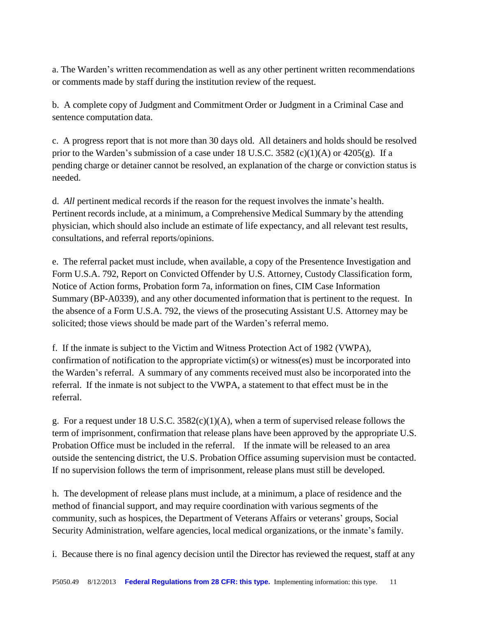a. The Warden's written recommendation as well as any other pertinent written recommendations or comments made by staff during the institution review of the request.

b. A complete copy of Judgment and Commitment Order or Judgment in a Criminal Case and sentence computation data.

c. A progress report that is not more than 30 days old. All detainers and holds should be resolved prior to the Warden's submission of a case under 18 U.S.C. 3582 (c)(1)(A) or  $4205(g)$ . If a pending charge or detainer cannot be resolved, an explanation of the charge or conviction status is needed.

d. *All* pertinent medical records if the reason for the request involves the inmate's health. Pertinent records include, at a minimum, a Comprehensive Medical Summary by the attending physician, which should also include an estimate of life expectancy, and all relevant test results, consultations, and referral reports/opinions.

e. The referral packet must include, when available, a copy of the Presentence Investigation and Form U.S.A. 792, Report on Convicted Offender by U.S. Attorney, Custody Classification form, Notice of Action forms, Probation form 7a, information on fines, CIM Case Information Summary (BP-A0339), and any other documented information that is pertinent to the request. In the absence of a Form U.S.A. 792, the views of the prosecuting Assistant U.S. Attorney may be solicited; those views should be made part of the Warden's referral memo.

f. If the inmate is subject to the Victim and Witness Protection Act of 1982 (VWPA), confirmation of notification to the appropriate victim(s) or witness(es) must be incorporated into the Warden's referral. A summary of any comments received must also be incorporated into the referral. If the inmate is not subject to the VWPA, a statement to that effect must be in the referral.

g. For a request under 18 U.S.C. 3582(c)(1)(A), when a term of supervised release follows the term of imprisonment, confirmation that release plans have been approved by the appropriate U.S. Probation Office must be included in the referral. If the inmate will be released to an area outside the sentencing district, the U.S. Probation Office assuming supervision must be contacted. If no supervision follows the term of imprisonment, release plans must still be developed.

h. The development of release plans must include, at a minimum, a place of residence and the method of financial support, and may require coordination with various segments of the community, such as hospices, the Department of Veterans Affairs or veterans' groups, Social Security Administration, welfare agencies, local medical organizations, or the inmate's family.

i. Because there is no final agency decision until the Director has reviewed the request, staff at any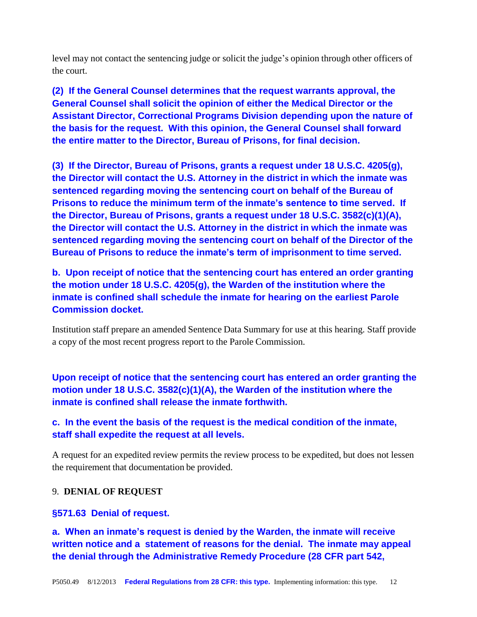level may not contact the sentencing judge or solicit the judge's opinion through other officers of the court.

**(2) If the General Counsel determines that the request warrants approval, the General Counsel shall solicit the opinion of either the Medical Director or the Assistant Director, Correctional Programs Division depending upon the nature of the basis for the request. With this opinion, the General Counsel shall forward the entire matter to the Director, Bureau of Prisons, for final decision.**

**(3) If the Director, Bureau of Prisons, grants a request under 18 U.S.C. 4205(g), the Director will contact the U.S. Attorney in the district in which the inmate was sentenced regarding moving the sentencing court on behalf of the Bureau of Prisons to reduce the minimum term of the inmate's sentence to time served. If the Director, Bureau of Prisons, grants a request under 18 U.S.C. 3582(c)(1)(A), the Director will contact the U.S. Attorney in the district in which the inmate was sentenced regarding moving the sentencing court on behalf of the Director of the Bureau of Prisons to reduce the inmate's term of imprisonment to time served.**

**b. Upon receipt of notice that the sentencing court has entered an order granting the motion under 18 U.S.C. 4205(g), the Warden of the institution where the inmate is confined shall schedule the inmate for hearing on the earliest Parole Commission docket.**

Institution staff prepare an amended Sentence Data Summary for use at this hearing. Staff provide a copy of the most recent progress report to the Parole Commission.

**Upon receipt of notice that the sentencing court has entered an order granting the motion under 18 U.S.C. 3582(c)(1)(A), the Warden of the institution where the inmate is confined shall release the inmate forthwith.**

## **c. In the event the basis of the request is the medical condition of the inmate, staff shall expedite the request at all levels.**

A request for an expedited review permits the review process to be expedited, but does not lessen the requirement that documentation be provided.

#### 9. **DENIAL OF REQUEST**

#### **§571.63 Denial of request.**

**a. When an inmate's request is denied by the Warden, the inmate will receive written notice and a statement of reasons for the denial. The inmate may appeal the denial through the Administrative Remedy Procedure (28 CFR part 542,**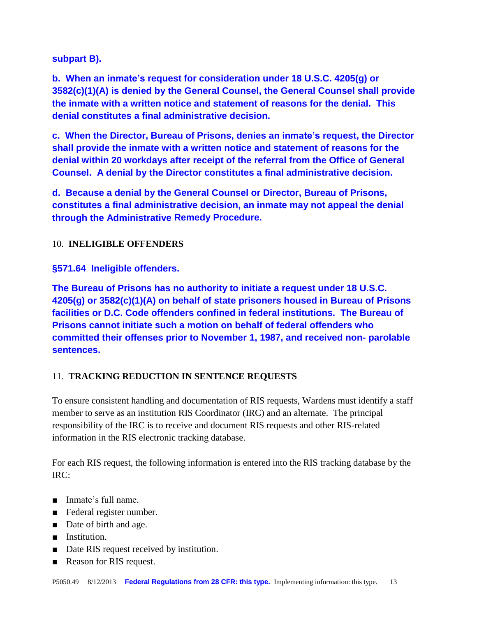**subpart B).**

**b. When an inmate's request for consideration under 18 U.S.C. 4205(g) or 3582(c)(1)(A) is denied by the General Counsel, the General Counsel shall provide the inmate with a written notice and statement of reasons for the denial. This denial constitutes a final administrative decision.**

**c. When the Director, Bureau of Prisons, denies an inmate's request, the Director shall provide the inmate with a written notice and statement of reasons for the denial within 20 workdays after receipt of the referral from the Office of General Counsel. A denial by the Director constitutes a final administrative decision.**

**d. Because a denial by the General Counsel or Director, Bureau of Prisons, constitutes a final administrative decision, an inmate may not appeal the denial through the Administrative Remedy Procedure.**

10. **INELIGIBLE OFFENDERS**

**§571.64 Ineligible offenders.**

**The Bureau of Prisons has no authority to initiate a request under 18 U.S.C. 4205(g) or 3582(c)(1)(A) on behalf of state prisoners housed in Bureau of Prisons facilities or D.C. Code offenders confined in federal institutions. The Bureau of Prisons cannot initiate such a motion on behalf of federal offenders who committed their offenses prior to November 1, 1987, and received non- parolable sentences.**

## 11. **TRACKING REDUCTION IN SENTENCE REQUESTS**

To ensure consistent handling and documentation of RIS requests, Wardens must identify a staff member to serve as an institution RIS Coordinator (IRC) and an alternate. The principal responsibility of the IRC is to receive and document RIS requests and other RIS-related information in the RIS electronic tracking database.

For each RIS request, the following information is entered into the RIS tracking database by the IRC:

- Inmate's full name.
- Federal register number.
- Date of birth and age.
- Institution.
- Date RIS request received by institution.
- Reason for RIS request.